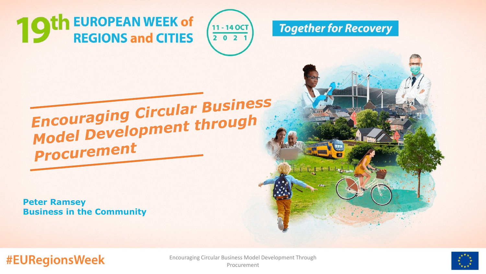th EUROPEAN WEEK of **REGIONS and CITIES** 





## Encouraging Circular Business<br>Model Development through **Procurement**

**Peter Ramsey Business in the Community**

**#EURegionsWeek** 



Encouraging Circular Business Model Development Through Procurement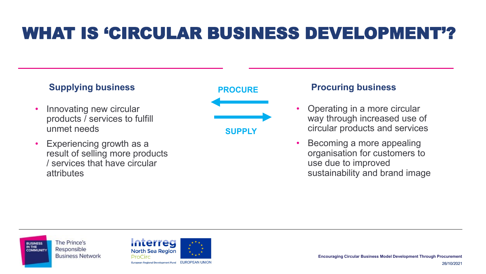## WHAT IS 'CIRCULAR BUSINESS DEVELOPMENT'?

### **Supplying business PROCURE Procuring business**

- Innovating new circular products / services to fulfill unmet needs
- Experiencing growth as a result of selling more products / services that have circular attributes



- Operating in a more circular way through increased use of circular products and services
- Becoming a more appealing organisation for customers to use due to improved sustainability and brand image

The Prince's **BUSINESS** IN THE Responsible **Business Network** 



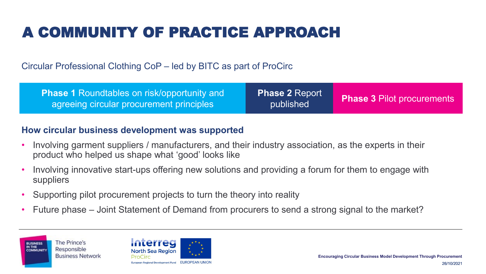## A COMMUNITY OF PRACTICE APPROACH

Circular Professional Clothing CoP – led by BITC as part of ProCirc

| <b>Phase 1 Roundtables on risk/opportunity and</b><br>agreeing circular procurement principles | Phase 2 Report<br>published | <b>Phase 3 Pilot procurements</b> |
|------------------------------------------------------------------------------------------------|-----------------------------|-----------------------------------|
|------------------------------------------------------------------------------------------------|-----------------------------|-----------------------------------|

#### **How circular business development was supported**

- Involving garment suppliers / manufacturers, and their industry association, as the experts in their product who helped us shape what 'good' looks like
- Involving innovative start-ups offering new solutions and providing a forum for them to engage with suppliers
- Supporting pilot procurement projects to turn the theory into reality
- Future phase Joint Statement of Demand from procurers to send a strong signal to the market?



26/10/2021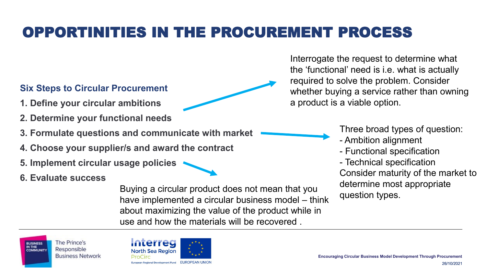## OPPORTINITIES IN THE PROCUREMENT PROCESS

### **Six Steps to Circular Procurement**

- **1. Define your circular ambitions**
- **2. Determine your functional needs**
- **3. Formulate questions and communicate with market**
- **4. Choose your supplier/s and award the contract**
- **5. Implement circular usage policies**
- **6. Evaluate success**

Buying a circular product does not mean that you<br>have implemented a circular business model think question types. have implemented a circular business model – think about maximizing the value of the product while in use and how the materials will be recovered .

Interrogate the request to determine what the 'functional' need is i.e. what is actually required to solve the problem. Consider whether buying a service rather than owning a product is a viable option.

Three broad types of question:

- Ambition alignment
- Functional specification
- Technical specification

Consider maturity of the market to determine most appropriate





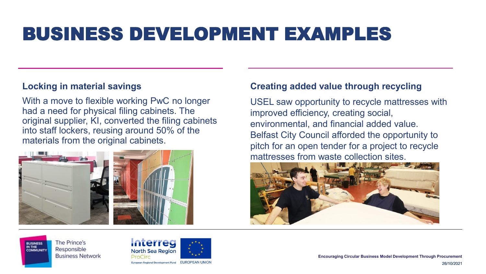## BUSINESS DEVELOPMENT EXAMPLES

#### **Locking in material savings**

With a move to flexible working PwC no longer had a need for physical filing cabinets. The original supplier, KI, converted the filing cabinets into staff lockers, reusing around 50% of the materials from the original cabinets.



#### **Creating added value through recycling**

USEL saw opportunity to recycle mattresses with improved efficiency, creating social, environmental, and financial added value. Belfast City Council afforded the opportunity to pitch for an open tender for a project to recycle mattresses from waste collection sites.



The Prince's Responsible **Business Network** 

**BUSINESS** IN THE



**Encouraging Circular Business Model Development Through Procurement**